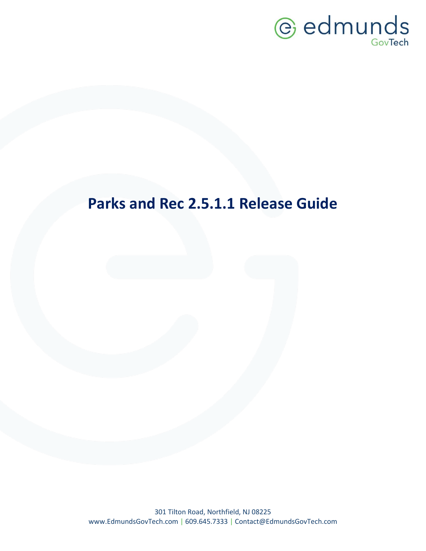

### **Parks and Rec 2.5.1.1 Release Guide**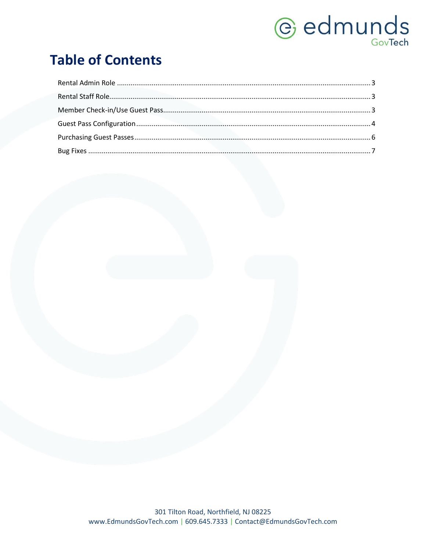# *<u>e* edmunds</u>

### **Table of Contents**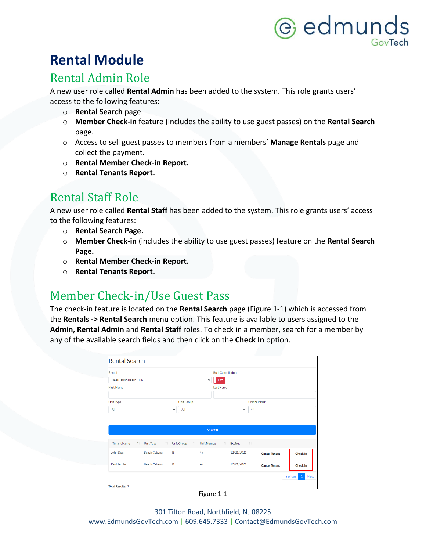## @ edmunds

### **Rental Module**

#### <span id="page-2-0"></span>Rental Admin Role

A new user role called **Rental Admin** has been added to the system. This role grants users' access to the following features:

- o **Rental Search** page.
- o **Member Check-in** feature (includes the ability to use guest passes) on the **Rental Search**  page.
- o Access to sell guest passes to members from a members' **Manage Rentals** page and collect the payment.
- o **Rental Member Check-in Report.**
- o **Rental Tenants Report.**

#### <span id="page-2-1"></span>Rental Staff Role

A new user role called **Rental Staff** has been added to the system. This role grants users' access to the following features:

- o **Rental Search Page.**
- o **Member Check-in** (includes the ability to use guest passes) feature on the **Rental Search Page.**
- o **Rental Member Check-in Report.**
- o **Rental Tenants Report.**

#### <span id="page-2-2"></span>Member Check-in/Use Guest Pass

The check-in feature is located on the **Rental Search** page (Figure 1-1) which is accessed from the **Rentals -> Rental Search** menu option. This feature is available to users assigned to the **Admin, Rental Admin** and **Rental Staff** roles. To check in a member, search for a member by any of the available search fields and then click on the **Check In** option.

| <b>Rental Search</b>    |                     |                     |                           |                          |                      |                               |
|-------------------------|---------------------|---------------------|---------------------------|--------------------------|----------------------|-------------------------------|
| Rental                  |                     |                     |                           | <b>Bulk Cancellation</b> |                      |                               |
| Deal Casino Beach Club  |                     |                     | $\checkmark$              | Off                      |                      |                               |
| <b>First Name</b>       |                     |                     |                           | <b>Last Name</b>         |                      |                               |
| <b>Unit Type</b>        |                     | <b>Unit Group</b>   |                           |                          | <b>Unit Number</b>   |                               |
| All                     |                     | All<br>$\checkmark$ |                           | $\checkmark$             | 49                   |                               |
|                         |                     |                     | Search                    |                          |                      |                               |
| <b>Tenant Name</b>      | ↑↓ Unit Type        | <b>Unit Group</b>   | 一个人<br><b>Unit Number</b> | <b>1. Expires</b> 1.     |                      |                               |
| John Doe                | <b>Beach Cabana</b> | R                   | 49                        | 12/21/2021               | <b>Cancel Tenant</b> | Check In                      |
| Paul Jacobs             | <b>Beach Cabana</b> | R                   | 49                        | 12/21/2021               | <b>Cancel Tenant</b> | Check In                      |
|                         |                     |                     |                           |                          |                      | Previous<br><b>Next</b><br>-1 |
| <b>Total Results: 2</b> |                     |                     |                           |                          |                      |                               |

Figure 1-1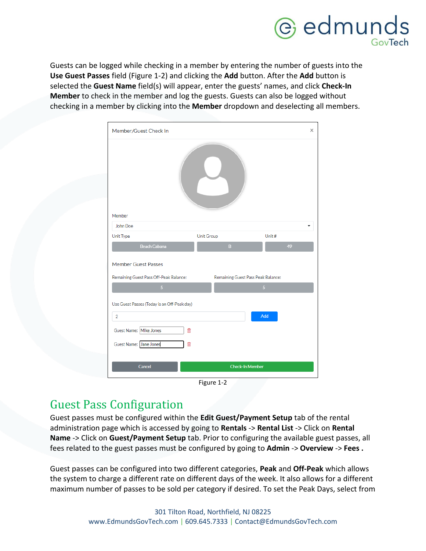

Guests can be logged while checking in a member by entering the number of guests into the **Use Guest Passes** field (Figure 1-2) and clicking the **Add** button. After the **Add** button is selected the **Guest Name** field(s) will appear, enter the guests' names, and click **Check-In Member** to check in the member and log the guests. Guests can also be logged without checking in a member by clicking into the **Member** dropdown and deselecting all members.

| Member/Guest Check In                                                                                                       |                                    | X              |  |  |  |  |  |
|-----------------------------------------------------------------------------------------------------------------------------|------------------------------------|----------------|--|--|--|--|--|
| Member                                                                                                                      |                                    |                |  |  |  |  |  |
| John Doe                                                                                                                    |                                    |                |  |  |  |  |  |
| Unit Type                                                                                                                   | <b>Unit Group</b>                  | Unit#          |  |  |  |  |  |
| <b>Beach Cabana</b>                                                                                                         | $\mathbf{B}$                       | 49             |  |  |  |  |  |
| <b>Member Guest Passes</b><br>Remaining Guest Pass Off-Peak Balance:                                                        | Remaining Guest Pass Peak Balance: |                |  |  |  |  |  |
| $\overline{5}$                                                                                                              |                                    | 5 <sup>1</sup> |  |  |  |  |  |
| Use Guest Passes (Today is an Off-Peak day)<br>$\overline{2}$<br>Guest Name: Mike Jones<br>面<br>Guest Name: Jane Jones<br>面 |                                    | Add            |  |  |  |  |  |
| Cancel                                                                                                                      | <b>Check-In Member</b>             |                |  |  |  |  |  |

Figure 1-2

#### <span id="page-3-0"></span>Guest Pass Configuration

Guest passes must be configured within the **Edit Guest/Payment Setup** tab of the rental administration page which is accessed by going to **Rentals** -> **Rental List** -> Click on **Rental Name** -> Click on **Guest/Payment Setup** tab. Prior to configuring the available guest passes, all fees related to the guest passes must be configured by going to **Admin** -> **Overview** -> **Fees .** 

Guest passes can be configured into two different categories, **Peak** and **Off-Peak** which allows the system to charge a different rate on different days of the week. It also allows for a different maximum number of passes to be sold per category if desired. To set the Peak Days, select from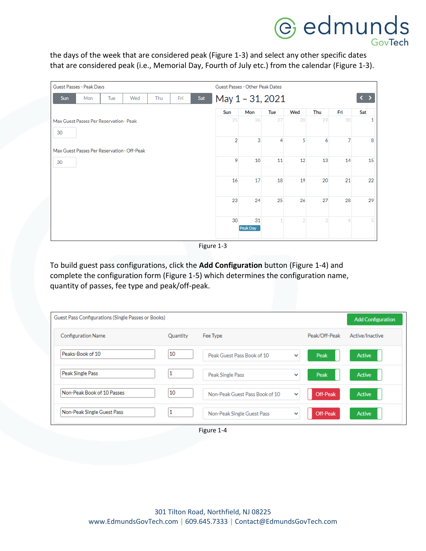# **C** edmunds

the days of the week that are considered peak (Figure 1-3) and select any other specific dates that are considered peak (i.e., Memorial Day, Fourth of July etc.) from the calendar (Figure 1-3).

| Guest Passes - Peak Days                |     |     |                                             | Guest Passes - Other Peak Dates |     |     |                  |                 |     |     |     |                |     |
|-----------------------------------------|-----|-----|---------------------------------------------|---------------------------------|-----|-----|------------------|-----------------|-----|-----|-----|----------------|-----|
| <b>Sun</b>                              | Mon | Tue | Wed                                         | Thu                             | Fri | Sat | May 1 - 31, 2021 |                 |     |     |     |                |     |
|                                         |     |     |                                             |                                 |     |     | Sun              | Mon             | Tue | Wed | Thu | Fri            | Sat |
| Max Guest Passes Per Reservation - Peak |     |     |                                             |                                 |     |     | 25               | 26              | 27  | 28  | 29  | 30             | 1   |
| 30                                      |     |     |                                             |                                 |     |     |                  |                 |     |     |     |                |     |
|                                         |     |     |                                             |                                 |     |     | $\overline{2}$   | 3               | 4   | 5   | 6   | $\overline{7}$ | 8   |
|                                         |     |     | Max Guest Passes Per Reservation - Off-Peak |                                 |     |     |                  |                 |     |     |     |                |     |
| 30                                      |     |     |                                             |                                 |     |     | 9                | 10 <sup>1</sup> | 11  | 12  | 13  | 14             | 15  |
|                                         |     |     |                                             |                                 |     |     |                  |                 |     |     |     |                |     |
|                                         |     |     |                                             |                                 |     |     | 16               | 17              | 18  | 19  | 20  | 21             | 22  |
|                                         |     |     |                                             |                                 |     |     |                  |                 |     |     |     |                |     |
|                                         |     |     |                                             |                                 |     |     | 23               | 24              | 25  | 26  | 27  | 28             | 29  |
|                                         |     |     |                                             |                                 |     |     |                  |                 |     |     |     |                |     |
|                                         |     |     |                                             |                                 |     |     | 30               | 31              |     | 2   | 3   | 4              | 5   |
|                                         |     |     |                                             |                                 |     |     |                  | Peak Day        |     |     |     |                |     |
|                                         |     |     |                                             |                                 |     |     |                  |                 |     |     |     |                |     |

Figure 1-3

To build guest pass configurations, click the **Add Configuration** button (Figure 1-4) and complete the configuration form (Figure 1-5) which determines the configuration name, quantity of passes, fee type and peak/off-peak.

| Guest Pass Configurations (Single Passes or Books) |          |                                |              |               | <b>Add Configuration</b> |
|----------------------------------------------------|----------|--------------------------------|--------------|---------------|--------------------------|
| <b>Configuration Name</b>                          | Quantity | Fee Type                       |              | Peak/Off-Peak | Active/Inactive          |
| Peaks-Book of 10                                   | 10       | Peak Guest Pass Book of 10     | $\checkmark$ | Peak          | Active                   |
| Peak Single Pass                                   | T        | Peak Single Pass               | $\checkmark$ | Peak          | Active                   |
| Non-Peak Book of 10 Passes                         | 10       | Non-Peak Guest Pass Book of 10 | $\checkmark$ | Off-Peak      | Active                   |
| Non-Peak Single Guest Pass                         | ш        | Non-Peak Single Guest Pass     | $\checkmark$ | Off-Peak      | <b>Active</b>            |

Figure 1-4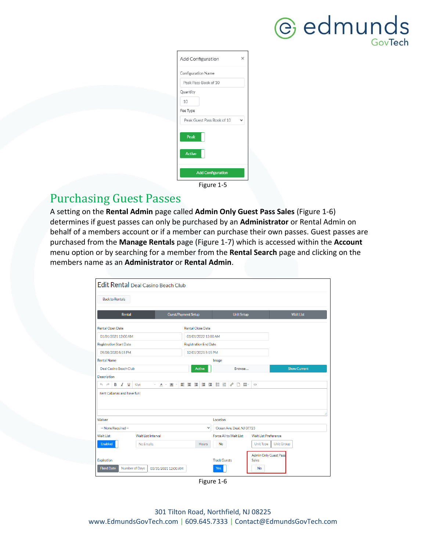

| Add Configuration          | $\times$ |
|----------------------------|----------|
| Configuration Name         |          |
| Peak Pass-Book of 10       |          |
| Quantity                   |          |
| 10                         |          |
| Fee Type                   |          |
| Peak Guest Pass Book of 10 |          |
| Peak                       |          |
| <b>Active</b>              |          |
|                            |          |
| <b>Add Configuration</b>   |          |
| Figure 1-5                 |          |

#### <span id="page-5-0"></span>Purchasing Guest Passes

A setting on the **Rental Admin** page called **Admin Only Guest Pass Sales** (Figure 1-6) determines if guest passes can only be purchased by an **Administrator** or Rental Admin on behalf of a members account or if a member can purchase their own passes. Guest passes are purchased from the **Manage Rentals** page (Figure 1-7) which is accessed within the **Account** menu option or by searching for a member from the **Rental Search** page and clicking on the members name as an **Administrator** or **Rental Admin**.

| Edit Rental Deal Casino Beach Club                                                       |                              |                                |                                                    |                     |  |
|------------------------------------------------------------------------------------------|------------------------------|--------------------------------|----------------------------------------------------|---------------------|--|
| <b>Back to Rentals</b>                                                                   |                              |                                |                                                    |                     |  |
| Rental                                                                                   | <b>Guest/Payment Setup</b>   | <b>Unit Setup</b>              |                                                    | <b>Wait List</b>    |  |
| <b>Rental Open Date</b>                                                                  | <b>Rental Close Date</b>     |                                |                                                    |                     |  |
| 01/01/2021 12:00 AM                                                                      | 01/01/2022 12:00 AM          |                                |                                                    |                     |  |
| <b>Registration Start Date</b>                                                           | <b>Registration End Date</b> |                                |                                                    |                     |  |
| 09/08/2020 5:15 PM                                                                       | 12/01/2021 5:15 PM           |                                |                                                    |                     |  |
| <b>Rental Name</b>                                                                       |                              | Image                          |                                                    |                     |  |
| Deal Casino Beach Club                                                                   | <b>Active</b>                | Browse                         |                                                    | <b>Show Current</b> |  |
| Description                                                                              |                              |                                |                                                    |                     |  |
| B<br>$\leftrightarrow$<br>$I \subseteq$<br>12pt<br>$A - A -$<br>$\overline{\phantom{a}}$ | 医医屈                          | 道理狂狂<br>$\mathscr{E}$<br>□ ⊞ → | $\leftrightarrow$                                  |                     |  |
| Rent Cabanas and have fun!                                                               |                              |                                |                                                    |                     |  |
|                                                                                          |                              |                                |                                                    |                     |  |
| Waiver                                                                                   |                              | Location                       |                                                    |                     |  |
| -- None Required --                                                                      | $\checkmark$                 | Ocean Ave, Deal, NJ 07723      |                                                    |                     |  |
| <b>Wait List</b><br>Wait List Interval                                                   |                              | Force All to Wait List         | <b>Wait List Preference</b>                        |                     |  |
| Enabled<br>No Emails                                                                     | <b>Hours</b>                 | <b>No</b>                      | <b>Unit Group</b><br>Unit Type                     |                     |  |
| Expiration<br><b>Fixed Date</b><br>Number of Days<br>03/31/2021 12:00 AM                 |                              | <b>Track Guests</b><br>Yes     | <b>Admin Only Guest Pass</b><br><b>Sales</b><br>No |                     |  |

Figure 1-6